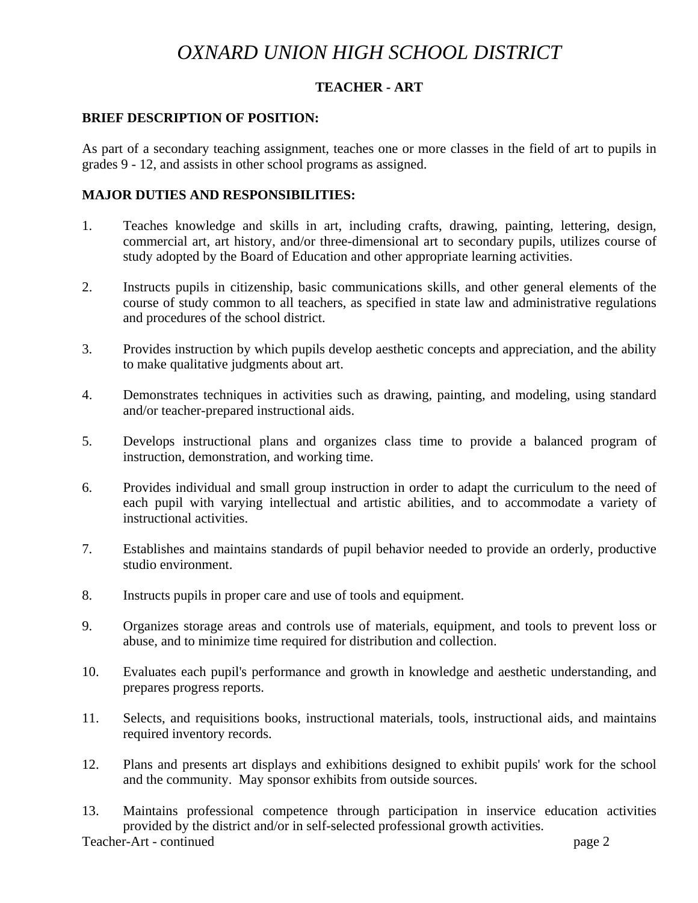# *OXNARD UNION HIGH SCHOOL DISTRICT*

## **TEACHER - ART**

#### **BRIEF DESCRIPTION OF POSITION:**

As part of a secondary teaching assignment, teaches one or more classes in the field of art to pupils in grades 9 - 12, and assists in other school programs as assigned.

#### **MAJOR DUTIES AND RESPONSIBILITIES:**

- 1. Teaches knowledge and skills in art, including crafts, drawing, painting, lettering, design, commercial art, art history, and/or three-dimensional art to secondary pupils, utilizes course of study adopted by the Board of Education and other appropriate learning activities.
- 2. Instructs pupils in citizenship, basic communications skills, and other general elements of the course of study common to all teachers, as specified in state law and administrative regulations and procedures of the school district.
- 3. Provides instruction by which pupils develop aesthetic concepts and appreciation, and the ability to make qualitative judgments about art.
- 4. Demonstrates techniques in activities such as drawing, painting, and modeling, using standard and/or teacher-prepared instructional aids.
- 5. Develops instructional plans and organizes class time to provide a balanced program of instruction, demonstration, and working time.
- 6. Provides individual and small group instruction in order to adapt the curriculum to the need of each pupil with varying intellectual and artistic abilities, and to accommodate a variety of instructional activities.
- 7. Establishes and maintains standards of pupil behavior needed to provide an orderly, productive studio environment.
- 8. Instructs pupils in proper care and use of tools and equipment.
- 9. Organizes storage areas and controls use of materials, equipment, and tools to prevent loss or abuse, and to minimize time required for distribution and collection.
- 10. Evaluates each pupil's performance and growth in knowledge and aesthetic understanding, and prepares progress reports.
- 11. Selects, and requisitions books, instructional materials, tools, instructional aids, and maintains required inventory records.
- 12. Plans and presents art displays and exhibitions designed to exhibit pupils' work for the school and the community. May sponsor exhibits from outside sources.
- 13. Maintains professional competence through participation in inservice education activities provided by the district and/or in self-selected professional growth activities.

Teacher-Art - continued page 2